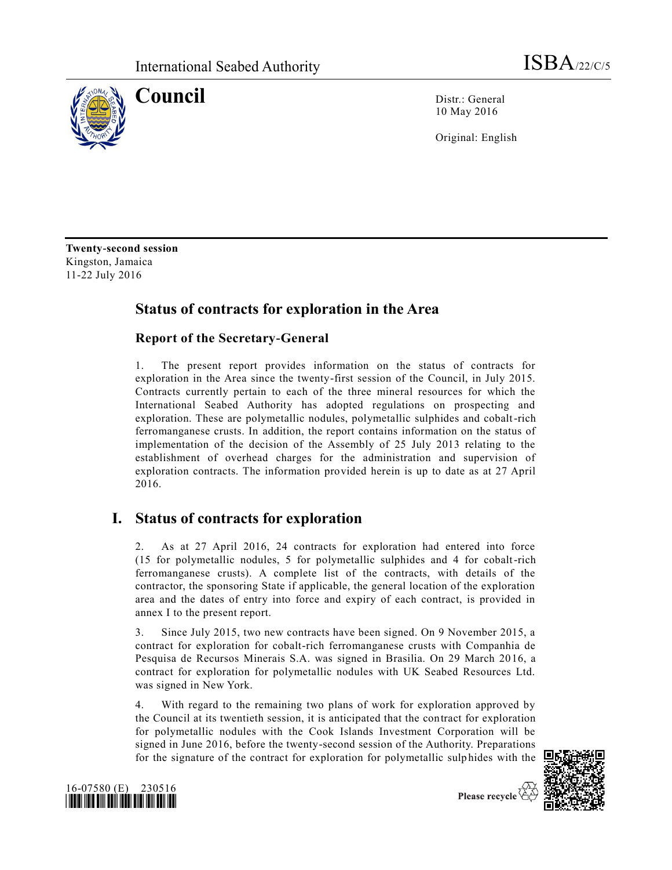

**Council** Distr.: General 10 May 2016

Original: English

**Twenty-second session** Kingston, Jamaica 11-22 July 2016

## **Status of contracts for exploration in the Area**

#### **Report of the Secretary-General**

1. The present report provides information on the status of contracts for exploration in the Area since the twenty-first session of the Council, in July 2015. Contracts currently pertain to each of the three mineral resources for which the International Seabed Authority has adopted regulations on prospecting and exploration. These are polymetallic nodules, polymetallic sulphides and cobalt-rich ferromanganese crusts. In addition, the report contains information on the status of implementation of the decision of the Assembly of 25 July 2013 relating to the establishment of overhead charges for the administration and supervision of exploration contracts. The information provided herein is up to date as at 27 April 2016.

## **I. Status of contracts for exploration**

2. As at 27 April 2016, 24 contracts for exploration had entered into force (15 for polymetallic nodules, 5 for polymetallic sulphides and 4 for cobalt-rich ferromanganese crusts). A complete list of the contracts, with details of the contractor, the sponsoring State if applicable, the general location of the exploration area and the dates of entry into force and expiry of each contract, is provided in annex I to the present report.

3. Since July 2015, two new contracts have been signed. On 9 November 2015, a contract for exploration for cobalt-rich ferromanganese crusts with Companhia de Pesquisa de Recursos Minerais S.A. was signed in Brasilia. On 29 March 2016, a contract for exploration for polymetallic nodules with UK Seabed Resources Ltd. was signed in New York.

4. With regard to the remaining two plans of work for exploration approved by the Council at its twentieth session, it is anticipated that the contract for exploration for polymetallic nodules with the Cook Islands Investment Corporation will be signed in June 2016, before the twenty-second session of the Authority. Preparations for the signature of the contract for exploration for polymetallic sulp hides with the



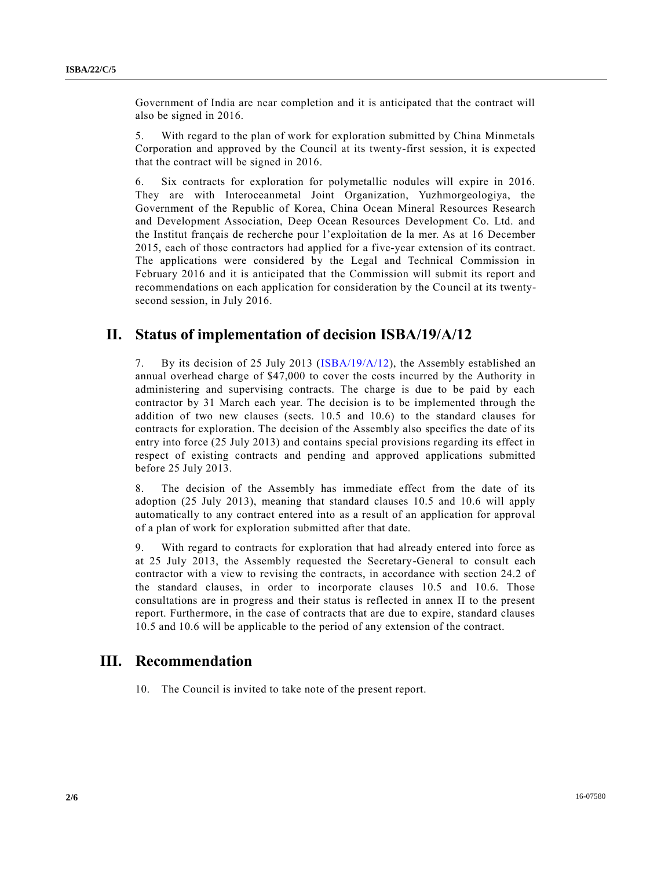Government of India are near completion and it is anticipated that the contract will also be signed in 2016.

5. With regard to the plan of work for exploration submitted by China Minmetals Corporation and approved by the Council at its twenty-first session, it is expected that the contract will be signed in 2016.

6. Six contracts for exploration for polymetallic nodules will expire in 2016. They are with Interoceanmetal Joint Organization, Yuzhmorgeologiya, the Government of the Republic of Korea, China Ocean Mineral Resources Research and Development Association, Deep Ocean Resources Development Co. Ltd. and the Institut français de recherche pour l'exploitation de la mer. As at 16 December 2015, each of those contractors had applied for a five-year extension of its contract. The applications were considered by the Legal and Technical Commission in February 2016 and it is anticipated that the Commission will submit its report and recommendations on each application for consideration by the Council at its twentysecond session, in July 2016.

### **II. Status of implementation of decision ISBA/19/A/12**

7. By its decision of 25 July 2013 [\(ISBA/19/A/12\)](http://undocs.org/ISBA/19/A/12), the Assembly established an annual overhead charge of \$47,000 to cover the costs incurred by the Authority in administering and supervising contracts. The charge is due to be paid by each contractor by 31 March each year. The decision is to be implemented through the addition of two new clauses (sects. 10.5 and 10.6) to the standard clauses for contracts for exploration. The decision of the Assembly also specifies the date of its entry into force (25 July 2013) and contains special provisions regarding its effect in respect of existing contracts and pending and approved applications submitted before 25 July 2013.

8. The decision of the Assembly has immediate effect from the date of its adoption (25 July 2013), meaning that standard clauses 10.5 and 10.6 will apply automatically to any contract entered into as a result of an application for approval of a plan of work for exploration submitted after that date.

9. With regard to contracts for exploration that had already entered into force as at 25 July 2013, the Assembly requested the Secretary-General to consult each contractor with a view to revising the contracts, in accordance with section 24.2 of the standard clauses, in order to incorporate clauses 10.5 and 10.6. Those consultations are in progress and their status is reflected in annex II to the present report. Furthermore, in the case of contracts that are due to expire, standard clauses 10.5 and 10.6 will be applicable to the period of any extension of the contract.

### **III. Recommendation**

10. The Council is invited to take note of the present report.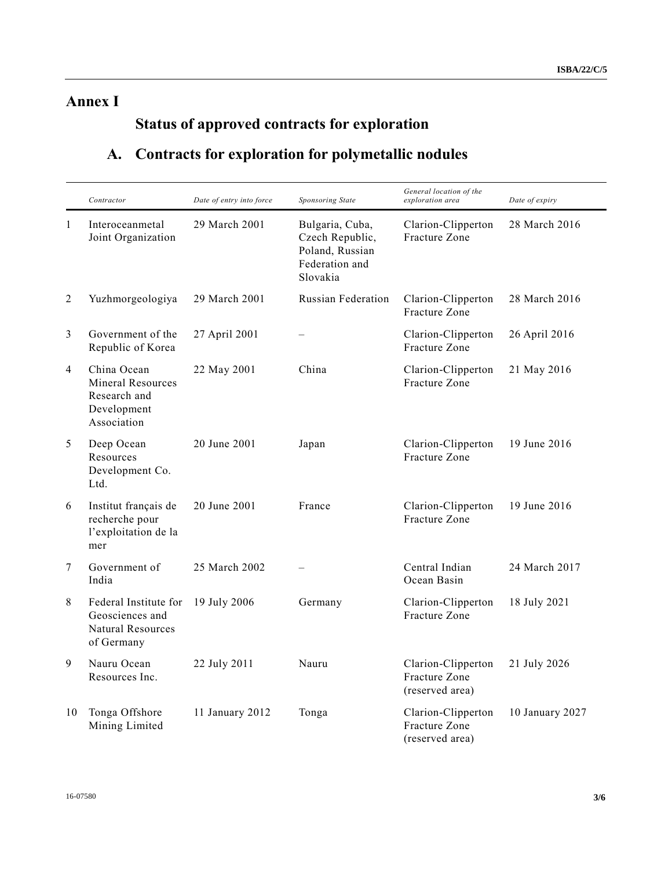# **Annex I**

# **Status of approved contracts for exploration**

# **A. Contracts for exploration for polymetallic nodules**

|              | Contractor                                                                     | Date of entry into force | Sponsoring State                                                                    | General location of the<br>exploration area            | Date of expiry  |
|--------------|--------------------------------------------------------------------------------|--------------------------|-------------------------------------------------------------------------------------|--------------------------------------------------------|-----------------|
| $\mathbf{1}$ | Interoceanmetal<br>Joint Organization                                          | 29 March 2001            | Bulgaria, Cuba,<br>Czech Republic,<br>Poland, Russian<br>Federation and<br>Slovakia | Clarion-Clipperton<br>Fracture Zone                    | 28 March 2016   |
| 2            | Yuzhmorgeologiya                                                               | 29 March 2001            | <b>Russian Federation</b>                                                           | Clarion-Clipperton<br>Fracture Zone                    | 28 March 2016   |
| 3            | Government of the<br>Republic of Korea                                         | 27 April 2001            |                                                                                     | Clarion-Clipperton<br>Fracture Zone                    | 26 April 2016   |
| 4            | China Ocean<br>Mineral Resources<br>Research and<br>Development<br>Association | 22 May 2001              | China                                                                               | Clarion-Clipperton<br>Fracture Zone                    | 21 May 2016     |
| 5            | Deep Ocean<br>Resources<br>Development Co.<br>Ltd.                             | 20 June 2001             | Japan                                                                               | Clarion-Clipperton<br>Fracture Zone                    | 19 June 2016    |
| 6            | Institut français de<br>recherche pour<br>l'exploitation de la<br>mer          | 20 June 2001             | France                                                                              | Clarion-Clipperton<br>Fracture Zone                    | 19 June 2016    |
| 7            | Government of<br>India                                                         | 25 March 2002            |                                                                                     | Central Indian<br>Ocean Basin                          | 24 March 2017   |
| 8            | Federal Institute for<br>Geosciences and<br>Natural Resources<br>of Germany    | 19 July 2006             | Germany                                                                             | Clarion-Clipperton<br>Fracture Zone                    | 18 July 2021    |
| 9            | Nauru Ocean<br>Resources Inc.                                                  | 22 July 2011             | Nauru                                                                               | Clarion-Clipperton<br>Fracture Zone<br>(reserved area) | 21 July 2026    |
| 10           | Tonga Offshore<br>Mining Limited                                               | 11 January 2012          | Tonga                                                                               | Clarion-Clipperton<br>Fracture Zone<br>(reserved area) | 10 January 2027 |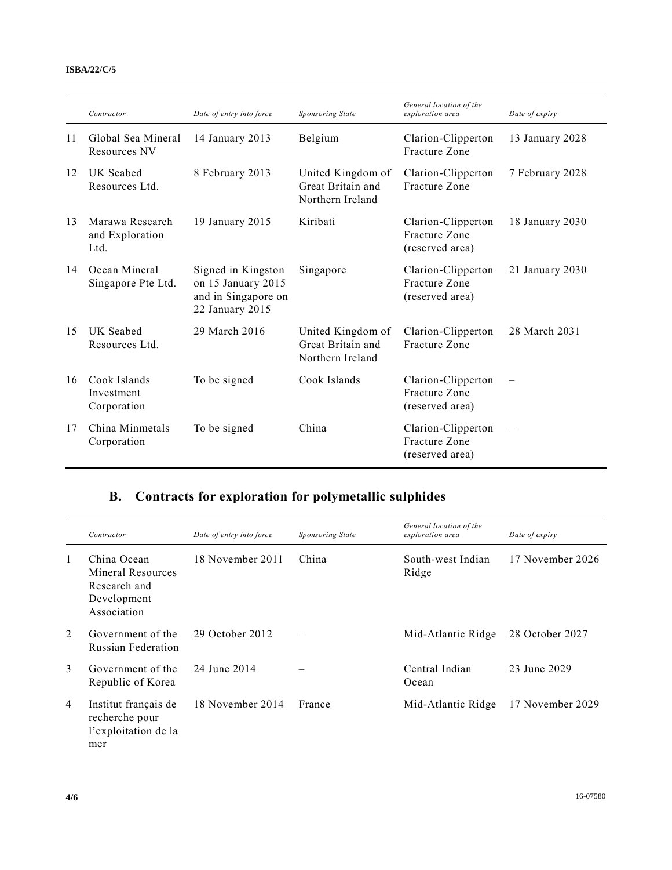#### **ISBA/22/C/5**

|    | Contractor                                 | Date of entry into force                                                           | <b>Sponsoring State</b>                                    | General location of the<br>exploration area            | Date of expiry      |
|----|--------------------------------------------|------------------------------------------------------------------------------------|------------------------------------------------------------|--------------------------------------------------------|---------------------|
| 11 | Global Sea Mineral<br>Resources NV         | 14 January 2013                                                                    | Belgium                                                    | Clarion-Clipperton<br>Fracture Zone                    | 13 January 2028     |
| 12 | UK Seabed<br>Resources Ltd.                | 8 February 2013                                                                    | United Kingdom of<br>Great Britain and<br>Northern Ireland | Clarion-Clipperton<br>Fracture Zone                    | 7 February 2028     |
| 13 | Marawa Research<br>and Exploration<br>Ltd. | 19 January 2015                                                                    | Kiribati                                                   | Clarion-Clipperton<br>Fracture Zone<br>(reserved area) | 18 January 2030     |
| 14 | Ocean Mineral<br>Singapore Pte Ltd.        | Signed in Kingston<br>on 15 January 2015<br>and in Singapore on<br>22 January 2015 | Singapore                                                  | Clarion-Clipperton<br>Fracture Zone<br>(reserved area) | $21$ January $2030$ |
| 15 | UK Seabed<br>Resources Ltd.                | 29 March 2016                                                                      | United Kingdom of<br>Great Britain and<br>Northern Ireland | Clarion-Clipperton<br>Fracture Zone                    | 28 March 2031       |
| 16 | Cook Islands<br>Investment<br>Corporation  | To be signed                                                                       | Cook Islands                                               | Clarion-Clipperton<br>Fracture Zone<br>(reserved area) |                     |
| 17 | China Minmetals<br>Corporation             | To be signed                                                                       | China                                                      | Clarion-Clipperton<br>Fracture Zone<br>(reserved area) |                     |

## **B. Contracts for exploration for polymetallic sulphides**

|   | Contractor                                                                     | Date of entry into force | Sponsoring State | General location of the<br>exploration area | Date of expiry   |
|---|--------------------------------------------------------------------------------|--------------------------|------------------|---------------------------------------------|------------------|
| 1 | China Ocean<br>Mineral Resources<br>Research and<br>Development<br>Association | 18 November 2011         | China            | South-west Indian<br>Ridge                  | 17 November 2026 |
| 2 | Government of the<br><b>Russian Federation</b>                                 | 29 October 2012          |                  | Mid-Atlantic Ridge                          | 28 October 2027  |
| 3 | Government of the<br>Republic of Korea                                         | 24 June 2014             |                  | Central Indian<br>Ocean                     | 23 June 2029     |
| 4 | Institut français de<br>recherche pour<br>l'exploitation de la<br>mer          | 18 November 2014         | France           | Mid-Atlantic Ridge                          | 17 November 2029 |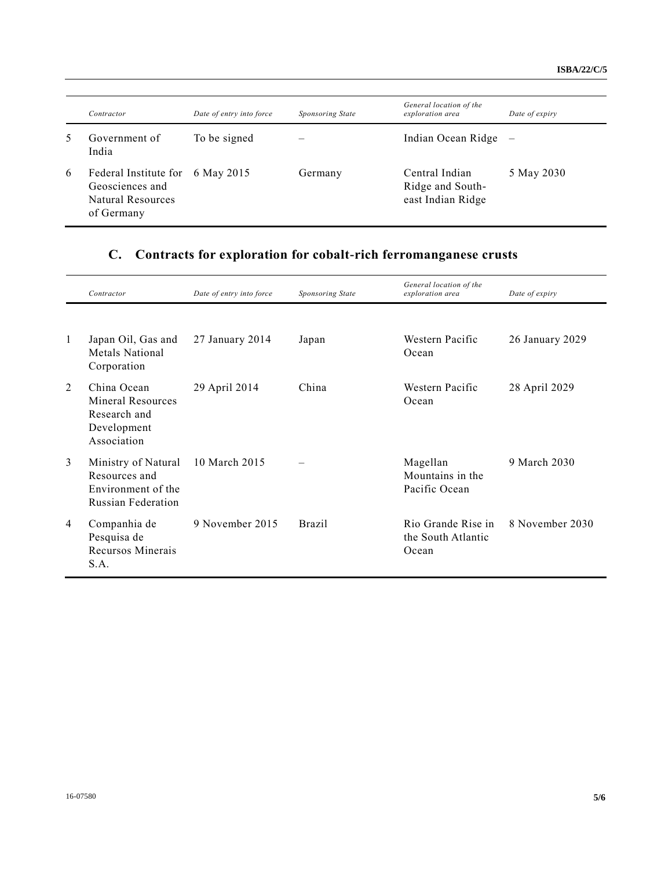|   | Contractor                                                                  | Date of entry into force | Sponsoring State | General location of the<br>exploration area             | Date of expiry |
|---|-----------------------------------------------------------------------------|--------------------------|------------------|---------------------------------------------------------|----------------|
| 5 | Government of<br>India                                                      | To be signed             |                  | Indian Ocean Ridge                                      |                |
| 6 | Federal Institute for<br>Geosciences and<br>Natural Resources<br>of Germany | 6 May 2015               | Germany          | Central Indian<br>Ridge and South-<br>east Indian Ridge | 5 May 2030     |

## **C. Contracts for exploration for cobalt-rich ferromanganese crusts**

|                | Contractor                                                                              | Date of entry into force | Sponsoring State | General location of the<br>exploration area       | Date of expiry  |
|----------------|-----------------------------------------------------------------------------------------|--------------------------|------------------|---------------------------------------------------|-----------------|
|                |                                                                                         |                          |                  |                                                   |                 |
| 1              | Japan Oil, Gas and<br>Metals National<br>Corporation                                    | 27 January 2014          | Japan            | Western Pacific<br>Ocean                          | 26 January 2029 |
| 2              | China Ocean<br>Mineral Resources<br>Research and<br>Development<br>Association          | 29 April 2014            | China            | Western Pacific<br>Ocean                          | 28 April 2029   |
| 3              | Ministry of Natural<br>Resources and<br>Environment of the<br><b>Russian Federation</b> | 10 March 2015            |                  | Magellan<br>Mountains in the<br>Pacific Ocean     | 9 March 2030    |
| $\overline{4}$ | Companhia de<br>Pesquisa de<br>Recursos Minerais<br>S.A.                                | 9 November 2015          | <b>Brazil</b>    | Rio Grande Rise in<br>the South Atlantic<br>Ocean | 8 November 2030 |